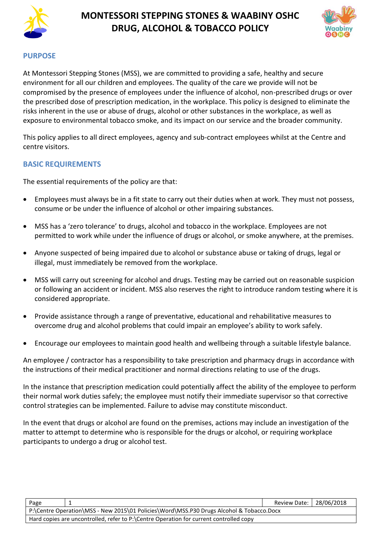

# **MONTESSORI STEPPING STONES & WAABINY OSHC DRUG, ALCOHOL & TOBACCO POLICY**



#### **PURPOSE**

At Montessori Stepping Stones (MSS), we are committed to providing a safe, healthy and secure environment for all our children and employees. The quality of the care we provide will not be compromised by the presence of employees under the influence of alcohol, non-prescribed drugs or over the prescribed dose of prescription medication, in the workplace. This policy is designed to eliminate the risks inherent in the use or abuse of drugs, alcohol or other substances in the workplace, as well as exposure to environmental tobacco smoke, and its impact on our service and the broader community.

This policy applies to all direct employees, agency and sub-contract employees whilst at the Centre and centre visitors.

#### **BASIC REQUIREMENTS**

The essential requirements of the policy are that:

- Employees must always be in a fit state to carry out their duties when at work. They must not possess, consume or be under the influence of alcohol or other impairing substances.
- MSS has a 'zero tolerance' to drugs, alcohol and tobacco in the workplace. Employees are not permitted to work while under the influence of drugs or alcohol, or smoke anywhere, at the premises.
- Anyone suspected of being impaired due to alcohol or substance abuse or taking of drugs, legal or illegal, must immediately be removed from the workplace.
- MSS will carry out screening for alcohol and drugs. Testing may be carried out on reasonable suspicion or following an accident or incident. MSS also reserves the right to introduce random testing where it is considered appropriate.
- Provide assistance through a range of preventative, educational and rehabilitative measures to overcome drug and alcohol problems that could impair an employee's ability to work safely.
- Encourage our employees to maintain good health and wellbeing through a suitable lifestyle balance.

An employee / contractor has a responsibility to take prescription and pharmacy drugs in accordance with the instructions of their medical practitioner and normal directions relating to use of the drugs.

In the instance that prescription medication could potentially affect the ability of the employee to perform their normal work duties safely; the employee must notify their immediate supervisor so that corrective control strategies can be implemented. Failure to advise may constitute misconduct.

In the event that drugs or alcohol are found on the premises, actions may include an investigation of the matter to attempt to determine who is responsible for the drugs or alcohol, or requiring workplace participants to undergo a drug or alcohol test.

| Page                                                                                     |  | Review Date:   28/06/2018 |  |  |  |  |
|------------------------------------------------------------------------------------------|--|---------------------------|--|--|--|--|
| P:\Centre Operation\MSS - New 2015\01 Policies\Word\MSS.P30 Drugs Alcohol & Tobacco.Docx |  |                           |  |  |  |  |
| Hard copies are uncontrolled, refer to P:\Centre Operation for current controlled copy   |  |                           |  |  |  |  |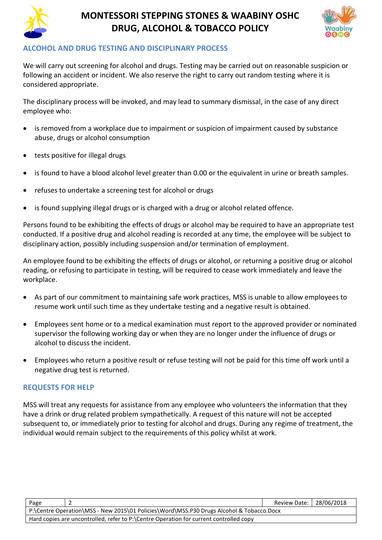

# **MONTESSORI STEPPING STONES & WAABINY OSHC DRUG, ALCOHOL & TOBACCO POLICY**



### **ALCOHOL AND DRUG TESTING AND DISCIPLINARY PROCESS**

We will carry out screening for alcohol and drugs. Testing may be carried out on reasonable suspicion or following an accident or incident. We also reserve the right to carry out random testing where it is considered appropriate.

The disciplinary process will be invoked, and may lead to summary dismissal, in the case of any direct employee who:

- is removed from a workplace due to impairment or suspicion of impairment caused by substance abuse, drugs or alcohol consumption
- tests positive for illegal drugs
- is found to have a blood alcohol level greater than 0.00 or the equivalent in urine or breath samples.
- refuses to undertake a screening test for alcohol or drugs
- is found supplying illegal drugs or is charged with a drug or alcohol related offence.

Persons found to be exhibiting the effects of drugs or alcohol may be required to have an appropriate test conducted. If a positive drug and alcohol reading is recorded at any time, the employee will be subject to disciplinary action, possibly including suspension and/or termination of employment.

An employee found to be exhibiting the effects of drugs or alcohol, or returning a positive drug or alcohol reading, or refusing to participate in testing, will be required to cease work immediately and leave the workplace.

- As part of our commitment to maintaining safe work practices, MSS is unable to allow employees to resume work until such time as they undertake testing and a negative result is obtained.
- Employees sent home or to a medical examination must report to the approved provider or nominated supervisor the following working day or when they are no longer under the influence of drugs or alcohol to discuss the incident.
- Employees who return a positive result or refuse testing will not be paid for this time off work until a negative drug test is returned.

#### **REQUESTS FOR HELP**

MSS will treat any requests for assistance from any employee who volunteers the information that they have a drink or drug related problem sympathetically. A request of this nature will not be accepted subsequent to, or immediately prior to testing for alcohol and drugs. During any regime of treatment, the individual would remain subject to the requirements of this policy whilst at work.

| Page                                                                                     | Review Date:   28/06/2018 |  |  |  |  |  |
|------------------------------------------------------------------------------------------|---------------------------|--|--|--|--|--|
| P:\Centre Operation\MSS - New 2015\01 Policies\Word\MSS.P30 Drugs Alcohol & Tobacco.Docx |                           |  |  |  |  |  |
| Hard copies are uncontrolled, refer to P:\Centre Operation for current controlled copy   |                           |  |  |  |  |  |